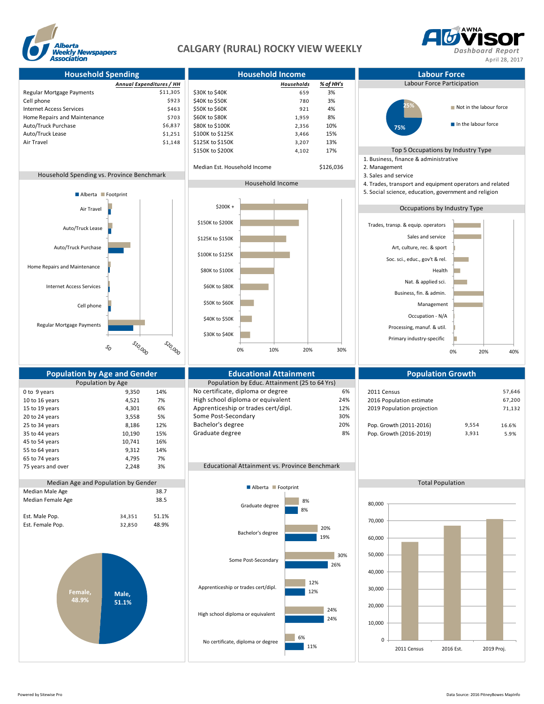

## **CALGARY (RURAL) ROCKY VIEW WEEKLY** *Dashboard Report*